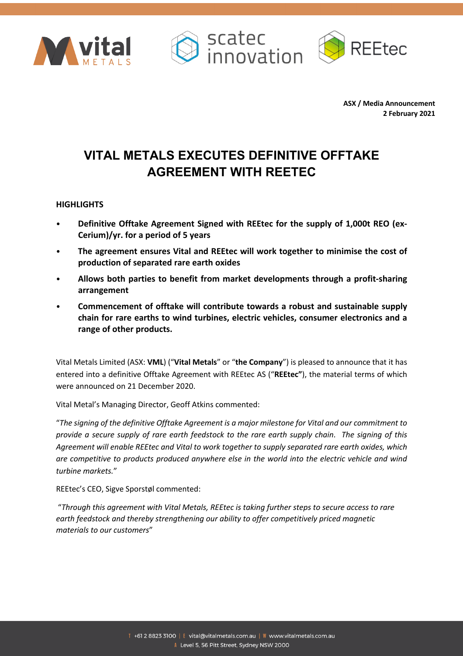





**ASX / Media Announcement 2 February 2021**

# **VITAL METALS EXECUTES DEFINITIVE OFFTAKE AGREEMENT WITH REETEC**

## **HIGHLIGHTS**

- **Definitive Offtake Agreement Signed with REEtec for the supply of 1,000t REO (ex-Cerium)/yr. for a period of 5 years**
- **The agreement ensures Vital and REEtec will work together to minimise the cost of production of separated rare earth oxides**
- **Allows both parties to benefit from market developments through a profit-sharing arrangement**
- **Commencement of offtake will contribute towards a robust and sustainable supply chain for rare earths to wind turbines, electric vehicles, consumer electronics and a range of other products.**

Vital Metals Limited (ASX: **VML**) ("**Vital Metals**" or "**the Company**") is pleased to announce that it has entered into a definitive Offtake Agreement with REEtec AS ("**REEtec"**), the material terms of which were announced on 21 December 2020.

Vital Metal's Managing Director, Geoff Atkins commented:

"*The signing of the definitive Offtake Agreement is a major milestone for Vital and our commitment to provide a secure supply of rare earth feedstock to the rare earth supply chain. The signing of this Agreement will enable REEtec and Vital to work together to supply separated rare earth oxides, which are competitive to products produced anywhere else in the world into the electric vehicle and wind turbine markets.*"

REEtec's CEO, Sigve Sporstøl commented:

"*Through this agreement with Vital Metals, REEtec is taking further steps to secure access to rare earth feedstock and thereby strengthening our ability to offer competitively priced magnetic materials to our customers*"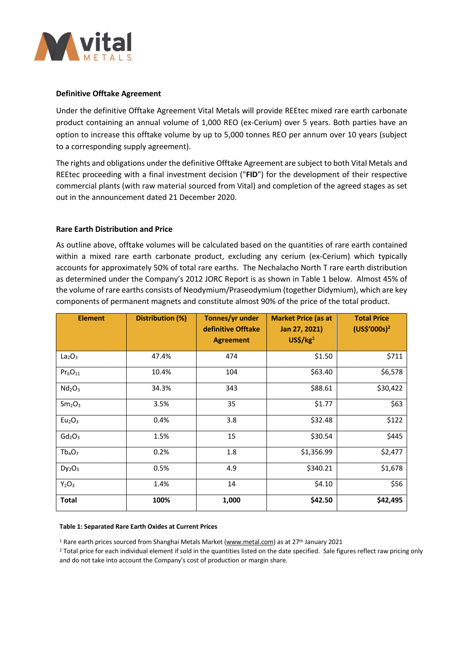

## **Definitive Offtake Agreement**

Under the definitive Offtake Agreement Vital Metals will provide REEtec mixed rare earth carbonate product containing an annual volume of 1,000 REO (ex-Cerium) over 5 years. Both parties have an option to increase this offtake volume by up to 5,000 tonnes REO per annum over 10 years (subject to a corresponding supply agreement).

The rights and obligations under the definitive Offtake Agreement are subject to both Vital Metals and REEtec proceeding with a final investment decision ("**FID**") for the development of their respective commercial plants (with raw material sourced from Vital) and completion of the agreed stages as set out in the announcement dated 21 December 2020.

### **Rare Earth Distribution and Price**

As outline above, offtake volumes will be calculated based on the quantities of rare earth contained within a mixed rare earth carbonate product, excluding any cerium (ex-Cerium) which typically accounts for approximately 50% of total rare earths. The Nechalacho North T rare earth distribution as determined under the Company's 2012 JORC Report is as shown in Table 1 below. Almost 45% of the volume of rare earths consists of Neodymium/Praseodymium (together Didymium), which are key components of permanent magnets and constitute almost 90% of the price of the total product.

| <b>Element</b>                 | Distribution (%) | Tonnes/yr under<br>definitive Offtake<br><b>Agreement</b> | <b>Market Price (as at</b><br>Jan 27, 2021)<br>US <sup>2</sup> /kg <sup>1</sup> | <b>Total Price</b><br>$(US\sin 9^2)$ |
|--------------------------------|------------------|-----------------------------------------------------------|---------------------------------------------------------------------------------|--------------------------------------|
| La <sub>2</sub> O <sub>3</sub> | 47.4%            | 474                                                       | \$1.50                                                                          | \$711                                |
| $Pr_6O_{11}$                   | 10.4%            | 104                                                       | \$63.40                                                                         | \$6,578                              |
| Nd <sub>2</sub> O <sub>3</sub> | 34.3%            | 343                                                       | \$88.61                                                                         | \$30,422                             |
| Sm <sub>2</sub> O <sub>3</sub> | 3.5%             | 35                                                        | \$1.77                                                                          | \$63                                 |
| Eu <sub>2</sub> O <sub>3</sub> | 0.4%             | 3.8                                                       | \$32.48                                                                         | \$122                                |
| $Gd_2O_3$                      | 1.5%             | 15                                                        | \$30.54                                                                         | \$445                                |
| $Tb_4O_7$                      | 0.2%             | 1.8                                                       | \$1,356.99                                                                      | \$2,477                              |
| $Dy_2O_3$                      | 0.5%             | 4.9                                                       | \$340.21                                                                        | \$1,678                              |
| $Y_2O_3$                       | 1.4%             | 14                                                        | \$4.10                                                                          | \$56                                 |
| <b>Total</b>                   | 100%             | 1,000                                                     | \$42.50                                                                         | \$42,495                             |

#### **Table 1: Separated Rare Earth Oxides at Current Prices**

<sup>1</sup> Rare earth prices sourced from Shanghai Metals Market (www.metal.com) as at 27th January 2021

<sup>2</sup> Total price for each individual element if sold in the quantities listed on the date specified. Sale figures reflect raw pricing only and do not take into account the Company's cost of production or margin share.